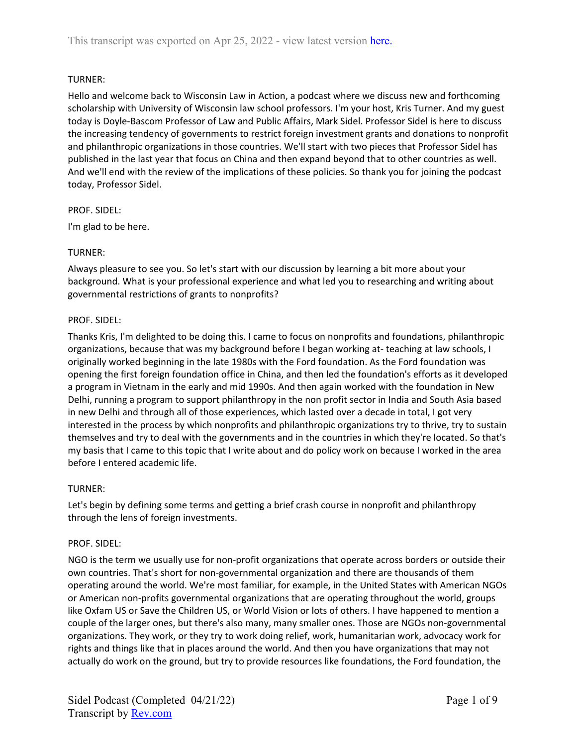# TURNER:

Hello and welcome back to Wisconsin Law in Action, a podcast where we discuss new and forthcoming scholarship with University of Wisconsin law school professors. I'm your host, Kris Turner. And my guest today is Doyle-Bascom Professor of Law and Public Affairs, Mark Sidel. Professor Sidel is here to discuss the increasing tendency of governments to restrict foreign investment grants and donations to nonprofit and philanthropic organizations in those countries. We'll start with two pieces that Professor Sidel has published in the last year that focus on China and then expand beyond that to other countries as well. And we'll end with the review of the implications of these policies. So thank you for joining the podcast today, Professor Sidel.

#### PROF. SIDEL:

I'm glad to be here.

## TURNER:

Always pleasure to see you. So let's start with our discussion by learning a bit more about your background. What is your professional experience and what led you to researching and writing about governmental restrictions of grants to nonprofits?

#### PROF. SIDEL:

Thanks Kris, I'm delighted to be doing this. I came to focus on nonprofits and foundations, philanthropic organizations, because that was my background before I began working at- teaching at law schools, I originally worked beginning in the late 1980s with the Ford foundation. As the Ford foundation was opening the first foreign foundation office in China, and then led the foundation's efforts as it developed a program in Vietnam in the early and mid 1990s. And then again worked with the foundation in New Delhi, running a program to support philanthropy in the non profit sector in India and South Asia based in new Delhi and through all of those experiences, which lasted over a decade in total, I got very interested in the process by which nonprofits and philanthropic organizations try to thrive, try to sustain themselves and try to deal with the governments and in the countries in which they're located. So that's my basis that I came to this topic that I write about and do policy work on because I worked in the area before I entered academic life.

## TURNER:

Let's begin by defining some terms and getting a brief crash course in nonprofit and philanthropy through the lens of foreign investments.

## PROF. SIDEL:

NGO is the term we usually use for non-profit organizations that operate across borders or outside their own countries. That's short for non-governmental organization and there are thousands of them operating around the world. We're most familiar, for example, in the United States with American NGOs or American non-profits governmental organizations that are operating throughout the world, groups like Oxfam US or Save the Children US, or World Vision or lots of others. I have happened to mention a couple of the larger ones, but there's also many, many smaller ones. Those are NGOs non-governmental organizations. They work, or they try to work doing relief, work, humanitarian work, advocacy work for rights and things like that in places around the world. And then you have organizations that may not actually do work on the ground, but try to provide resources like foundations, the Ford foundation, the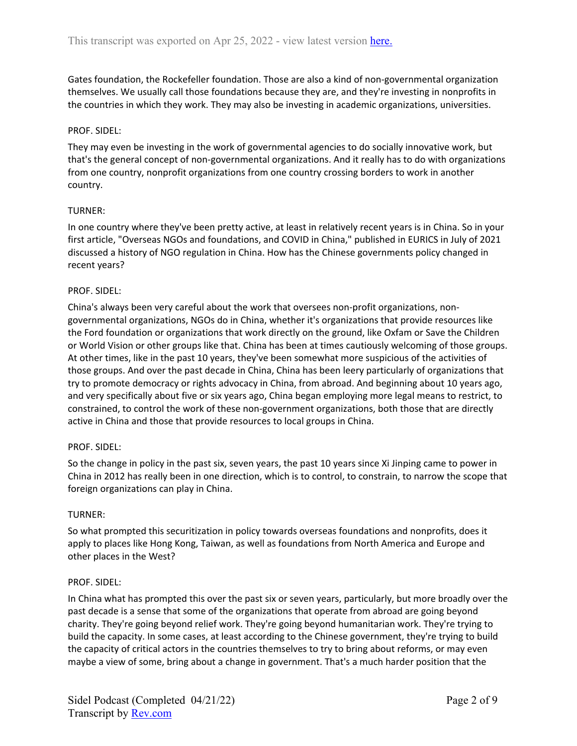Gates foundation, the Rockefeller foundation. Those are also a kind of non-governmental organization themselves. We usually call those foundations because they are, and they're investing in nonprofits in the countries in which they work. They may also be investing in academic organizations, universities.

#### PROF. SIDEL:

They may even be investing in the work of governmental agencies to do socially innovative work, but that's the general concept of non-governmental organizations. And it really has to do with organizations from one country, nonprofit organizations from one country crossing borders to work in another country.

#### TURNER:

In one country where they've been pretty active, at least in relatively recent years is in China. So in your first article, "Overseas NGOs and foundations, and COVID in China," published in EURICS in July of 2021 discussed a history of NGO regulation in China. How has the Chinese governments policy changed in recent years?

#### PROF. SIDEL:

China's always been very careful about the work that oversees non-profit organizations, nongovernmental organizations, NGOs do in China, whether it's organizations that provide resources like the Ford foundation or organizations that work directly on the ground, like Oxfam or Save the Children or World Vision or other groups like that. China has been at times cautiously welcoming of those groups. At other times, like in the past 10 years, they've been somewhat more suspicious of the activities of those groups. And over the past decade in China, China has been leery particularly of organizations that try to promote democracy or rights advocacy in China, from abroad. And beginning about 10 years ago, and very specifically about five or six years ago, China began employing more legal means to restrict, to constrained, to control the work of these non-government organizations, both those that are directly active in China and those that provide resources to local groups in China.

#### PROF. SIDEL:

So the change in policy in the past six, seven years, the past 10 years since Xi Jinping came to power in China in 2012 has really been in one direction, which is to control, to constrain, to narrow the scope that foreign organizations can play in China.

#### TURNER:

So what prompted this securitization in policy towards overseas foundations and nonprofits, does it apply to places like Hong Kong, Taiwan, as well as foundations from North America and Europe and other places in the West?

#### PROF. SIDEL:

In China what has prompted this over the past six or seven years, particularly, but more broadly over the past decade is a sense that some of the organizations that operate from abroad are going beyond charity. They're going beyond relief work. They're going beyond humanitarian work. They're trying to build the capacity. In some cases, at least according to the Chinese government, they're trying to build the capacity of critical actors in the countries themselves to try to bring about reforms, or may even maybe a view of some, bring about a change in government. That's a much harder position that the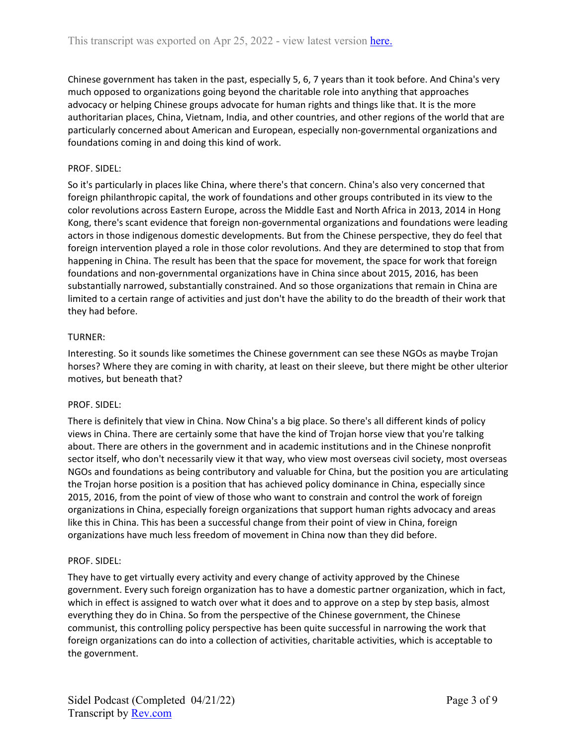Chinese government has taken in the past, especially 5, 6, 7 years than it took before. And China's very much opposed to organizations going beyond the charitable role into anything that approaches advocacy or helping Chinese groups advocate for human rights and things like that. It is the more authoritarian places, China, Vietnam, India, and other countries, and other regions of the world that are particularly concerned about American and European, especially non-governmental organizations and foundations coming in and doing this kind of work.

## PROF. SIDEL:

So it's particularly in places like China, where there's that concern. China's also very concerned that foreign philanthropic capital, the work of foundations and other groups contributed in its view to the color revolutions across Eastern Europe, across the Middle East and North Africa in 2013, 2014 in Hong Kong, there's scant evidence that foreign non-governmental organizations and foundations were leading actors in those indigenous domestic developments. But from the Chinese perspective, they do feel that foreign intervention played a role in those color revolutions. And they are determined to stop that from happening in China. The result has been that the space for movement, the space for work that foreign foundations and non-governmental organizations have in China since about 2015, 2016, has been substantially narrowed, substantially constrained. And so those organizations that remain in China are limited to a certain range of activities and just don't have the ability to do the breadth of their work that they had before.

## TURNER:

Interesting. So it sounds like sometimes the Chinese government can see these NGOs as maybe Trojan horses? Where they are coming in with charity, at least on their sleeve, but there might be other ulterior motives, but beneath that?

## PROF. SIDEL:

There is definitely that view in China. Now China's a big place. So there's all different kinds of policy views in China. There are certainly some that have the kind of Trojan horse view that you're talking about. There are others in the government and in academic institutions and in the Chinese nonprofit sector itself, who don't necessarily view it that way, who view most overseas civil society, most overseas NGOs and foundations as being contributory and valuable for China, but the position you are articulating the Trojan horse position is a position that has achieved policy dominance in China, especially since 2015, 2016, from the point of view of those who want to constrain and control the work of foreign organizations in China, especially foreign organizations that support human rights advocacy and areas like this in China. This has been a successful change from their point of view in China, foreign organizations have much less freedom of movement in China now than they did before.

## PROF. SIDEL:

They have to get virtually every activity and every change of activity approved by the Chinese government. Every such foreign organization has to have a domestic partner organization, which in fact, which in effect is assigned to watch over what it does and to approve on a step by step basis, almost everything they do in China. So from the perspective of the Chinese government, the Chinese communist, this controlling policy perspective has been quite successful in narrowing the work that foreign organizations can do into a collection of activities, charitable activities, which is acceptable to the government.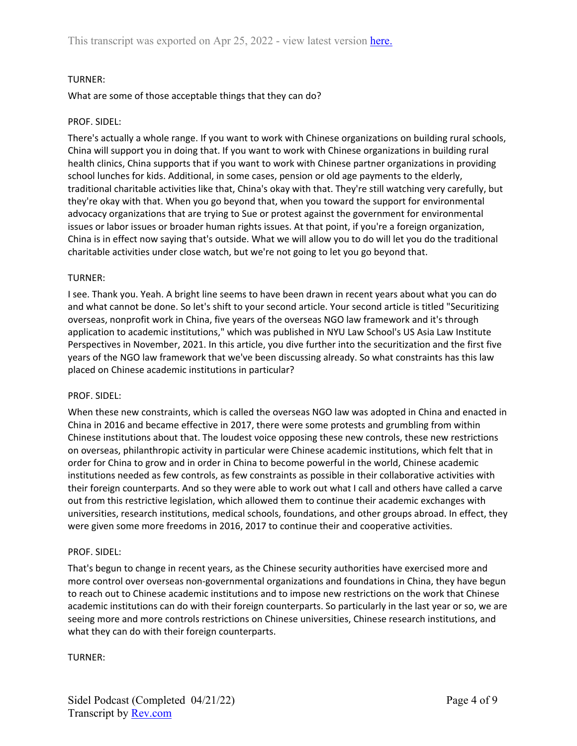# TURNER:

What are some of those acceptable things that they can do?

## PROF. SIDEL:

There's actually a whole range. If you want to work with Chinese organizations on building rural schools, China will support you in doing that. If you want to work with Chinese organizations in building rural health clinics, China supports that if you want to work with Chinese partner organizations in providing school lunches for kids. Additional, in some cases, pension or old age payments to the elderly, traditional charitable activities like that, China's okay with that. They're still watching very carefully, but they're okay with that. When you go beyond that, when you toward the support for environmental advocacy organizations that are trying to Sue or protest against the government for environmental issues or labor issues or broader human rights issues. At that point, if you're a foreign organization, China is in effect now saying that's outside. What we will allow you to do will let you do the traditional charitable activities under close watch, but we're not going to let you go beyond that.

#### TURNER:

I see. Thank you. Yeah. A bright line seems to have been drawn in recent years about what you can do and what cannot be done. So let's shift to your second article. Your second article is titled "Securitizing overseas, nonprofit work in China, five years of the overseas NGO law framework and it's through application to academic institutions," which was published in NYU Law School's US Asia Law Institute Perspectives in November, 2021. In this article, you dive further into the securitization and the first five years of the NGO law framework that we've been discussing already. So what constraints has this law placed on Chinese academic institutions in particular?

#### PROF. SIDEL:

When these new constraints, which is called the overseas NGO law was adopted in China and enacted in China in 2016 and became effective in 2017, there were some protests and grumbling from within Chinese institutions about that. The loudest voice opposing these new controls, these new restrictions on overseas, philanthropic activity in particular were Chinese academic institutions, which felt that in order for China to grow and in order in China to become powerful in the world, Chinese academic institutions needed as few controls, as few constraints as possible in their collaborative activities with their foreign counterparts. And so they were able to work out what I call and others have called a carve out from this restrictive legislation, which allowed them to continue their academic exchanges with universities, research institutions, medical schools, foundations, and other groups abroad. In effect, they were given some more freedoms in 2016, 2017 to continue their and cooperative activities.

#### PROF. SIDEL:

That's begun to change in recent years, as the Chinese security authorities have exercised more and more control over overseas non-governmental organizations and foundations in China, they have begun to reach out to Chinese academic institutions and to impose new restrictions on the work that Chinese academic institutions can do with their foreign counterparts. So particularly in the last year or so, we are seeing more and more controls restrictions on Chinese universities, Chinese research institutions, and what they can do with their foreign counterparts.

#### TURNER: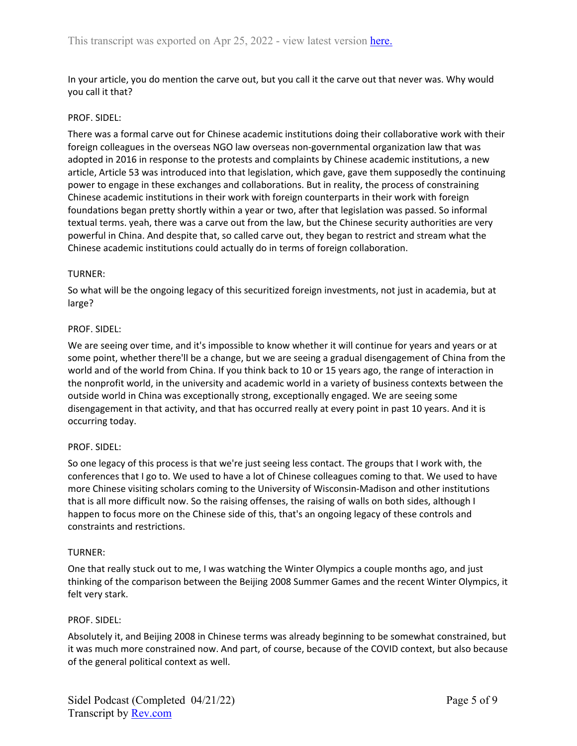In your article, you do mention the carve out, but you call it the carve out that never was. Why would you call it that?

## PROF. SIDEL:

There was a formal carve out for Chinese academic institutions doing their collaborative work with their foreign colleagues in the overseas NGO law overseas non-governmental organization law that was adopted in 2016 in response to the protests and complaints by Chinese academic institutions, a new article, Article 53 was introduced into that legislation, which gave, gave them supposedly the continuing power to engage in these exchanges and collaborations. But in reality, the process of constraining Chinese academic institutions in their work with foreign counterparts in their work with foreign foundations began pretty shortly within a year or two, after that legislation was passed. So informal textual terms. yeah, there was a carve out from the law, but the Chinese security authorities are very powerful in China. And despite that, so called carve out, they began to restrict and stream what the Chinese academic institutions could actually do in terms of foreign collaboration.

# TURNER:

So what will be the ongoing legacy of this securitized foreign investments, not just in academia, but at large?

# PROF. SIDEL:

We are seeing over time, and it's impossible to know whether it will continue for years and years or at some point, whether there'll be a change, but we are seeing a gradual disengagement of China from the world and of the world from China. If you think back to 10 or 15 years ago, the range of interaction in the nonprofit world, in the university and academic world in a variety of business contexts between the outside world in China was exceptionally strong, exceptionally engaged. We are seeing some disengagement in that activity, and that has occurred really at every point in past 10 years. And it is occurring today.

## PROF. SIDEL:

So one legacy of this process is that we're just seeing less contact. The groups that I work with, the conferences that I go to. We used to have a lot of Chinese colleagues coming to that. We used to have more Chinese visiting scholars coming to the University of Wisconsin-Madison and other institutions that is all more difficult now. So the raising offenses, the raising of walls on both sides, although I happen to focus more on the Chinese side of this, that's an ongoing legacy of these controls and constraints and restrictions.

## TURNER:

One that really stuck out to me, I was watching the Winter Olympics a couple months ago, and just thinking of the comparison between the Beijing 2008 Summer Games and the recent Winter Olympics, it felt very stark.

## PROF. SIDEL:

Absolutely it, and Beijing 2008 in Chinese terms was already beginning to be somewhat constrained, but it was much more constrained now. And part, of course, because of the COVID context, but also because of the general political context as well.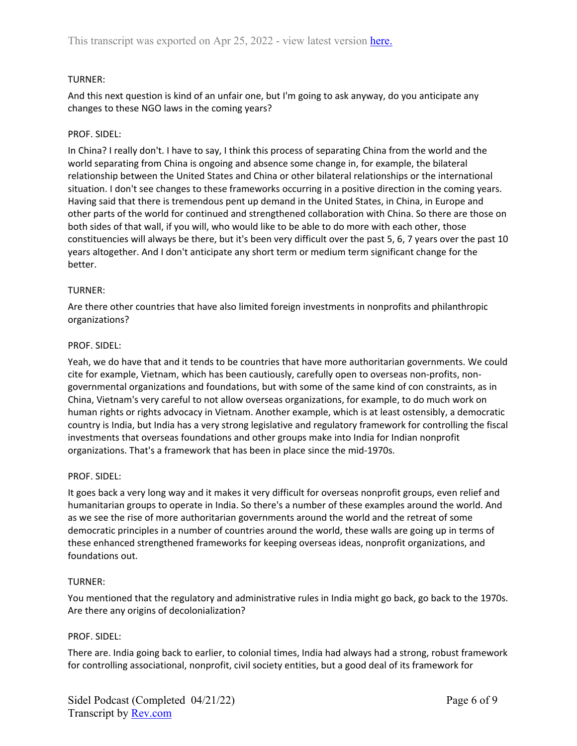# TURNER:

And this next question is kind of an unfair one, but I'm going to ask anyway, do you anticipate any changes to these NGO laws in the coming years?

# PROF. SIDEL:

In China? I really don't. I have to say, I think this process of separating China from the world and the world separating from China is ongoing and absence some change in, for example, the bilateral relationship between the United States and China or other bilateral relationships or the international situation. I don't see changes to these frameworks occurring in a positive direction in the coming years. Having said that there is tremendous pent up demand in the United States, in China, in Europe and other parts of the world for continued and strengthened collaboration with China. So there are those on both sides of that wall, if you will, who would like to be able to do more with each other, those constituencies will always be there, but it's been very difficult over the past 5, 6, 7 years over the past 10 years altogether. And I don't anticipate any short term or medium term significant change for the better.

# TURNER:

Are there other countries that have also limited foreign investments in nonprofits and philanthropic organizations?

## PROF. SIDEL:

Yeah, we do have that and it tends to be countries that have more authoritarian governments. We could cite for example, Vietnam, which has been cautiously, carefully open to overseas non-profits, nongovernmental organizations and foundations, but with some of the same kind of con constraints, as in China, Vietnam's very careful to not allow overseas organizations, for example, to do much work on human rights or rights advocacy in Vietnam. Another example, which is at least ostensibly, a democratic country is India, but India has a very strong legislative and regulatory framework for controlling the fiscal investments that overseas foundations and other groups make into India for Indian nonprofit organizations. That's a framework that has been in place since the mid-1970s.

## PROF. SIDEL:

It goes back a very long way and it makes it very difficult for overseas nonprofit groups, even relief and humanitarian groups to operate in India. So there's a number of these examples around the world. And as we see the rise of more authoritarian governments around the world and the retreat of some democratic principles in a number of countries around the world, these walls are going up in terms of these enhanced strengthened frameworks for keeping overseas ideas, nonprofit organizations, and foundations out.

## TURNER:

You mentioned that the regulatory and administrative rules in India might go back, go back to the 1970s. Are there any origins of decolonialization?

## PROF. SIDEL:

There are. India going back to earlier, to colonial times, India had always had a strong, robust framework for controlling associational, nonprofit, civil society entities, but a good deal of its framework for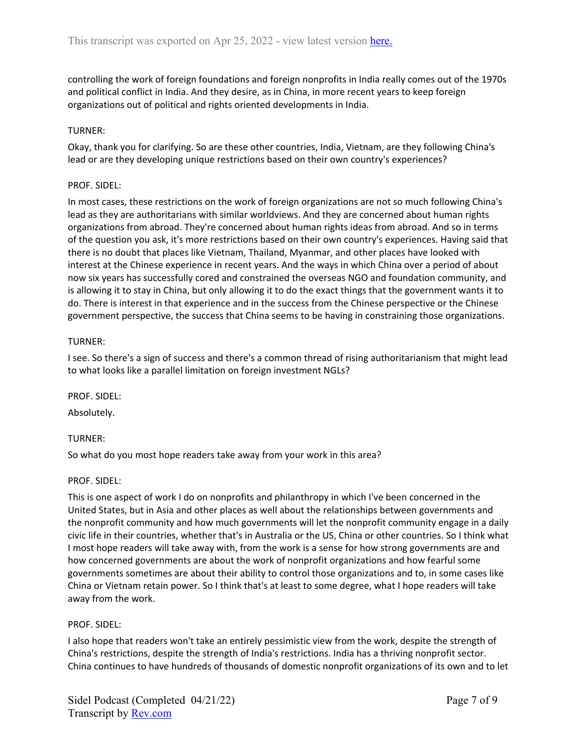controlling the work of foreign foundations and foreign nonprofits in India really comes out of the 1970s and political conflict in India. And they desire, as in China, in more recent years to keep foreign organizations out of political and rights oriented developments in India.

## TURNER:

Okay, thank you for clarifying. So are these other countries, India, Vietnam, are they following China's lead or are they developing unique restrictions based on their own country's experiences?

## PROF. SIDEL:

In most cases, these restrictions on the work of foreign organizations are not so much following China's lead as they are authoritarians with similar worldviews. And they are concerned about human rights organizations from abroad. They're concerned about human rights ideas from abroad. And so in terms of the question you ask, it's more restrictions based on their own country's experiences. Having said that there is no doubt that places like Vietnam, Thailand, Myanmar, and other places have looked with interest at the Chinese experience in recent years. And the ways in which China over a period of about now six years has successfully cored and constrained the overseas NGO and foundation community, and is allowing it to stay in China, but only allowing it to do the exact things that the government wants it to do. There is interest in that experience and in the success from the Chinese perspective or the Chinese government perspective, the success that China seems to be having in constraining those organizations.

#### TURNER:

I see. So there's a sign of success and there's a common thread of rising authoritarianism that might lead to what looks like a parallel limitation on foreign investment NGLs?

PROF. SIDEL:

Absolutely.

## TURNER:

So what do you most hope readers take away from your work in this area?

## PROF. SIDEL:

This is one aspect of work I do on nonprofits and philanthropy in which I've been concerned in the United States, but in Asia and other places as well about the relationships between governments and the nonprofit community and how much governments will let the nonprofit community engage in a daily civic life in their countries, whether that's in Australia or the US, China or other countries. So I think what I most hope readers will take away with, from the work is a sense for how strong governments are and how concerned governments are about the work of nonprofit organizations and how fearful some governments sometimes are about their ability to control those organizations and to, in some cases like China or Vietnam retain power. So I think that's at least to some degree, what I hope readers will take away from the work.

## PROF. SIDEL:

I also hope that readers won't take an entirely pessimistic view from the work, despite the strength of China's restrictions, despite the strength of India's restrictions. India has a thriving nonprofit sector. China continues to have hundreds of thousands of domestic nonprofit organizations of its own and to let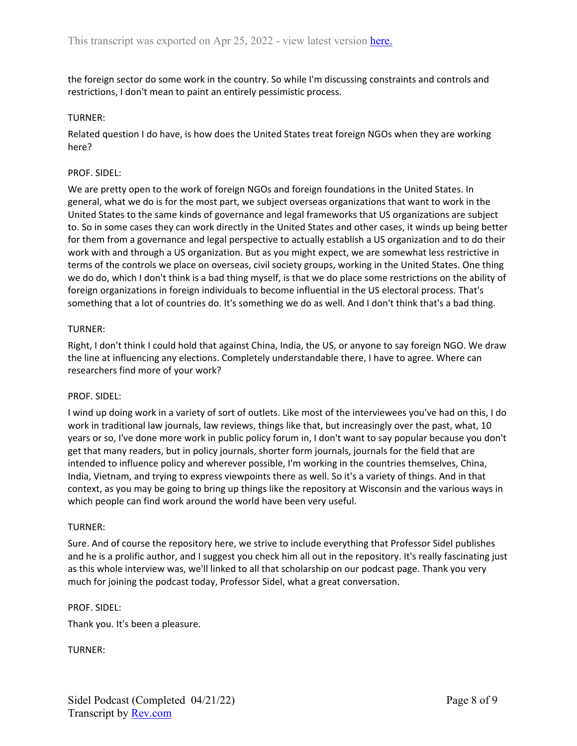the foreign sector do some work in the country. So while I'm discussing constraints and controls and restrictions, I don't mean to paint an entirely pessimistic process.

## TURNER:

Related question I do have, is how does the United States treat foreign NGOs when they are working here?

## PROF. SIDEL:

We are pretty open to the work of foreign NGOs and foreign foundations in the United States. In general, what we do is for the most part, we subject overseas organizations that want to work in the United States to the same kinds of governance and legal frameworks that US organizations are subject to. So in some cases they can work directly in the United States and other cases, it winds up being better for them from a governance and legal perspective to actually establish a US organization and to do their work with and through a US organization. But as you might expect, we are somewhat less restrictive in terms of the controls we place on overseas, civil society groups, working in the United States. One thing we do do, which I don't think is a bad thing myself, is that we do place some restrictions on the ability of foreign organizations in foreign individuals to become influential in the US electoral process. That's something that a lot of countries do. It's something we do as well. And I don't think that's a bad thing.

# TURNER:

Right, I don't think I could hold that against China, India, the US, or anyone to say foreign NGO. We draw the line at influencing any elections. Completely understandable there, I have to agree. Where can researchers find more of your work?

## PROF. SIDEL:

I wind up doing work in a variety of sort of outlets. Like most of the interviewees you've had on this, I do work in traditional law journals, law reviews, things like that, but increasingly over the past, what, 10 years or so, I've done more work in public policy forum in, I don't want to say popular because you don't get that many readers, but in policy journals, shorter form journals, journals for the field that are intended to influence policy and wherever possible, I'm working in the countries themselves, China, India, Vietnam, and trying to express viewpoints there as well. So it's a variety of things. And in that context, as you may be going to bring up things like the repository at Wisconsin and the various ways in which people can find work around the world have been very useful.

## TURNER:

Sure. And of course the repository here, we strive to include everything that Professor Sidel publishes and he is a prolific author, and I suggest you check him all out in the repository. It's really fascinating just as this whole interview was, we'll linked to all that scholarship on our podcast page. Thank you very much for joining the podcast today, Professor Sidel, what a great conversation.

## PROF. SIDEL:

Thank you. It's been a pleasure.

TURNER: